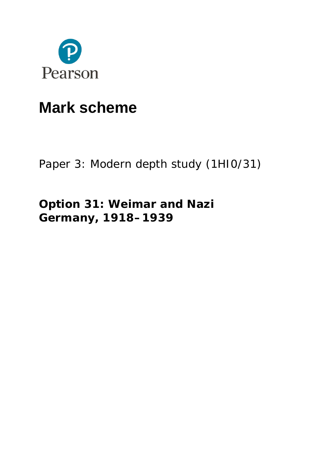

# **Mark scheme**

Paper 3: Modern depth study (1HI0/31)

**Option 31: Weimar and Nazi Germany, 1918–1939**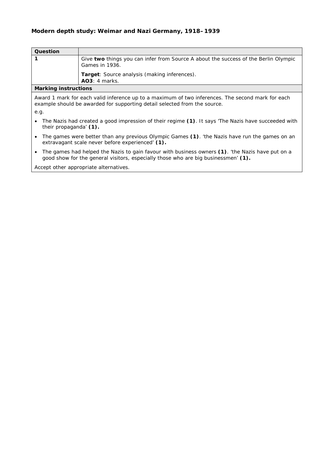# **Modern depth study: Weimar and Nazi Germany, 1918–1939**

| Question |                                                                                                       |
|----------|-------------------------------------------------------------------------------------------------------|
|          | Give two things you can infer from Source A about the success of the Berlin Olympic<br>Games in 1936. |
|          | <b>Target:</b> Source analysis (making inferences).<br>AO3: 4 marks.                                  |

# **Marking instructions**

Award 1 mark for each valid inference up to a maximum of two inferences. The second mark for each example should be awarded for supporting detail selected from the source.

e.g.

- The Nazis had created a good impression of their regime **(1)**. It says 'The Nazis have succeeded with their propaganda' **(1).**
- The games were better than any previous Olympic Games **(1)**. 'the Nazis have run the games on an extravagant scale never before experienced' **(1).**
- The games had helped the Nazis to gain favour with business owners **(1)**. 'the Nazis have put on a good show for the general visitors, especially those who are big businessmen' **(1).**

Accept other appropriate alternatives.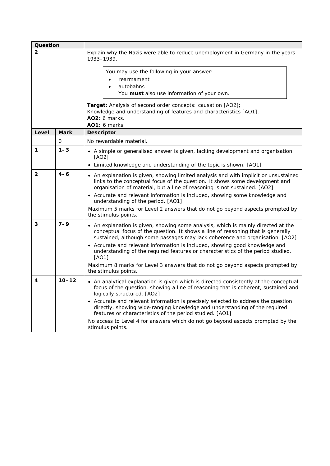| Question       |              |                                                                                                                                                                                                                                                                                                                                                                                                                                                                                                                                                  |  |  |
|----------------|--------------|--------------------------------------------------------------------------------------------------------------------------------------------------------------------------------------------------------------------------------------------------------------------------------------------------------------------------------------------------------------------------------------------------------------------------------------------------------------------------------------------------------------------------------------------------|--|--|
| $\overline{2}$ |              | Explain why the Nazis were able to reduce unemployment in Germany in the years<br>1933-1939.                                                                                                                                                                                                                                                                                                                                                                                                                                                     |  |  |
|                |              | You may use the following in your answer:<br>rearmament<br>autobahns<br>$\bullet$<br>You must also use information of your own.<br>Target: Analysis of second order concepts: causation [AO2];<br>Knowledge and understanding of features and characteristics [AO1].                                                                                                                                                                                                                                                                             |  |  |
|                |              | <b>AO2:</b> 6 marks.<br>AO1: 6 marks.                                                                                                                                                                                                                                                                                                                                                                                                                                                                                                            |  |  |
| Level          | <b>Mark</b>  | <b>Descriptor</b>                                                                                                                                                                                                                                                                                                                                                                                                                                                                                                                                |  |  |
|                | $\mathbf{O}$ | No rewardable material.                                                                                                                                                                                                                                                                                                                                                                                                                                                                                                                          |  |  |
| 1              | $1 - 3$      | • A simple or generalised answer is given, lacking development and organisation.<br>[AO2]<br>• Limited knowledge and understanding of the topic is shown. [AO1]                                                                                                                                                                                                                                                                                                                                                                                  |  |  |
| $\overline{2}$ | $4 - 6$      | • An explanation is given, showing limited analysis and with implicit or unsustained<br>links to the conceptual focus of the question. It shows some development and<br>organisation of material, but a line of reasoning is not sustained. [AO2]<br>• Accurate and relevant information is included, showing some knowledge and<br>understanding of the period. [AO1]<br>Maximum 5 marks for Level 2 answers that do not go beyond aspects prompted by<br>the stimulus points.                                                                  |  |  |
| 3              | $7 - 9$      | • An explanation is given, showing some analysis, which is mainly directed at the<br>conceptual focus of the question. It shows a line of reasoning that is generally<br>sustained, although some passages may lack coherence and organisation. [AO2]<br>• Accurate and relevant information is included, showing good knowledge and<br>understanding of the required features or characteristics of the period studied.<br>[AO1]<br>Maximum 8 marks for Level 3 answers that do not go beyond aspects prompted by<br>the stimulus points.       |  |  |
| 4              | $10 - 12$    | • An analytical explanation is given which is directed consistently at the conceptual<br>focus of the question, showing a line of reasoning that is coherent, sustained and<br>logically structured. [AO2]<br>• Accurate and relevant information is precisely selected to address the question<br>directly, showing wide-ranging knowledge and understanding of the required<br>features or characteristics of the period studied. [AO1]<br>No access to Level 4 for answers which do not go beyond aspects prompted by the<br>stimulus points. |  |  |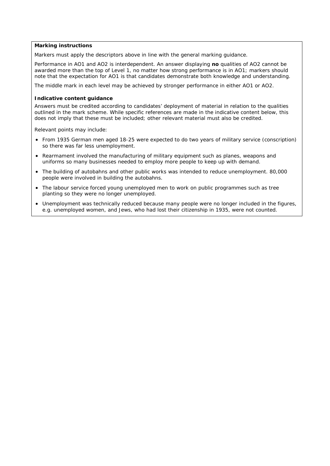Markers must apply the descriptors above in line with the general marking guidance.

Performance in AO1 and AO2 is interdependent. An answer displaying **no** qualities of AO2 cannot be awarded more than the top of Level 1, no matter how strong performance is in AO1; markers should note that the expectation for AO1 is that candidates demonstrate both knowledge *and* understanding.

The middle mark in each level may be achieved by stronger performance in either AO1 or AO2.

#### **Indicative content guidance**

Answers must be credited according to candidates' deployment of material in relation to the qualities outlined in the mark scheme. While specific references are made in the indicative content below, this does not imply that these must be included; other relevant material must also be credited.

Relevant points may include:

- From 1935 German men aged 18-25 were expected to do two years of military service (conscription) so there was far less unemployment.
- Rearmament involved the manufacturing of military equipment such as planes, weapons and uniforms so many businesses needed to employ more people to keep up with demand.
- The building of autobahns and other public works was intended to reduce unemployment. 80,000 people were involved in building the autobahns.
- The labour service forced young unemployed men to work on public programmes such as tree planting so they were no longer unemployed.
- Unemployment was technically reduced because many people were no longer included in the figures, e.g. unemployed women, and Jews, who had lost their citizenship in 1935, were not counted.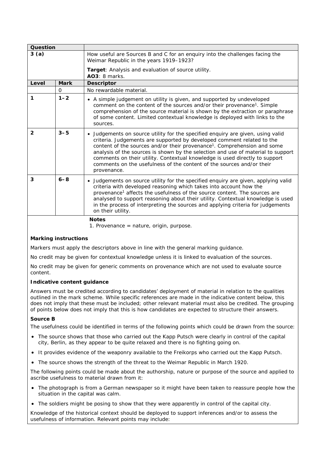| Question             |          |                                                                                                                                                                                                                                                                                                                                                                                                                                                                                                              |
|----------------------|----------|--------------------------------------------------------------------------------------------------------------------------------------------------------------------------------------------------------------------------------------------------------------------------------------------------------------------------------------------------------------------------------------------------------------------------------------------------------------------------------------------------------------|
| 3(a)                 |          | How useful are Sources B and C for an enquiry into the challenges facing the<br>Weimar Republic in the years 1919-1923?                                                                                                                                                                                                                                                                                                                                                                                      |
|                      |          | Target: Analysis and evaluation of source utility.<br>AO3: 8 marks.                                                                                                                                                                                                                                                                                                                                                                                                                                          |
| <b>Mark</b><br>Level |          | <b>Descriptor</b>                                                                                                                                                                                                                                                                                                                                                                                                                                                                                            |
|                      | $\Omega$ | No rewardable material.                                                                                                                                                                                                                                                                                                                                                                                                                                                                                      |
| 1                    | $1 - 2$  | • A simple judgement on utility is given, and supported by undeveloped<br>comment on the content of the sources and/or their provenance <sup>1</sup> . Simple<br>comprehension of the source material is shown by the extraction or paraphrase<br>of some content. Limited contextual knowledge is deployed with links to the<br>sources.                                                                                                                                                                    |
| $\overline{2}$       | $3 - 5$  | • Judgements on source utility for the specified enquiry are given, using valid<br>criteria. Judgements are supported by developed comment related to the<br>content of the sources and/or their provenance <sup>1</sup> . Comprehension and some<br>analysis of the sources is shown by the selection and use of material to support<br>comments on their utility. Contextual knowledge is used directly to support<br>comments on the usefulness of the content of the sources and/or their<br>provenance. |
| 3                    | $6 - 8$  | • Judgements on source utility for the specified enguiry are given, applying valid<br>criteria with developed reasoning which takes into account how the<br>provenance <sup>1</sup> affects the usefulness of the source content. The sources are<br>analysed to support reasoning about their utility. Contextual knowledge is used<br>in the process of interpreting the sources and applying criteria for judgements<br>on their utility.                                                                 |
|                      |          |                                                                                                                                                                                                                                                                                                                                                                                                                                                                                                              |

**Notes**

1. Provenance = nature, origin, purpose.

# **Marking instructions**

Markers must apply the descriptors above in line with the general marking guidance.

No credit may be given for contextual knowledge unless it is linked to evaluation of the sources.

No credit may be given for generic comments on provenance which are not used to evaluate source content.

## **Indicative content guidance**

Answers must be credited according to candidates' deployment of material in relation to the qualities outlined in the mark scheme. While specific references are made in the indicative content below, this does not imply that these must be included; other relevant material must also be credited. The grouping of points below does not imply that this is how candidates are expected to structure their answers.

## **Source B**

The usefulness could be identified in terms of the following points which could be drawn from the source:

- The source shows that those who carried out the Kapp Putsch were clearly in control of the capital city, Berlin, as they appear to be quite relaxed and there is no fighting going on.
- It provides evidence of the weaponry available to the Freikorps who carried out the Kapp Putsch.
- The source shows the strength of the threat to the Weimar Republic in March 1920.

The following points could be made about the authorship, nature or purpose of the source and applied to ascribe usefulness to material drawn from it:

- The photograph is from a German newspaper so it might have been taken to reassure people how the situation in the capital was calm.
- The soldiers might be posing to show that they were apparently in control of the capital city.

Knowledge of the historical context should be deployed to support inferences and/or to assess the usefulness of information. Relevant points may include: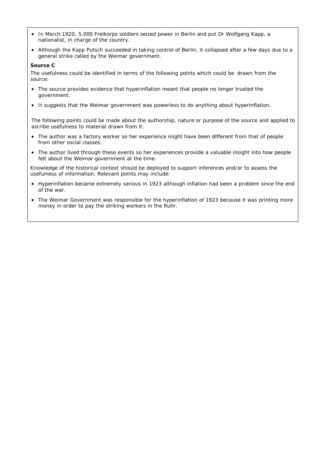- In March 1920, 5,000 Freikorps soldiers seized power in Berlin and put Dr Wolfgang Kapp, a nationalist, in charge of the country.
- Although the Kapp Putsch succeeded in taking control of Berlin, it collapsed after a few days due to a general strike called by the Weimar government.

#### **Source C**

The usefulness could be identified in terms of the following points which could be drawn from the source:

- The source provides evidence that hyperinflation meant that people no longer trusted the government.
- It suggests that the Weimar government was powerless to do anything about hyperinflation.

The following points could be made about the authorship, nature or purpose of the source and applied to ascribe usefulness to material drawn from it:

- The author was a factory worker so her experience might have been different from that of people from other social classes.
- The author lived through these events so her experiences provide a valuable insight into how people felt about the Weimar government at the time.

Knowledge of the historical context should be deployed to support inferences and/or to assess the usefulness of information. Relevant points may include:

- Hyperinflation became extremely serious in 1923 although inflation had been a problem since the end of the war.
- The Weimar Government was responsible for the hyperinflation of 1923 because it was printing more money in order to pay the striking workers in the Ruhr.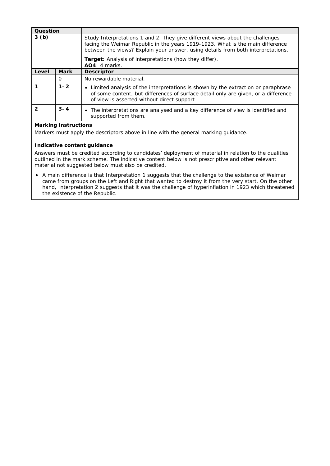| Question |             |                                                                                                                                                                                                                                                                                                                                       |  |
|----------|-------------|---------------------------------------------------------------------------------------------------------------------------------------------------------------------------------------------------------------------------------------------------------------------------------------------------------------------------------------|--|
| 3(b)     |             | Study Interpretations 1 and 2. They give different views about the challenges<br>facing the Weimar Republic in the years 1919-1923. What is the main difference<br>between the views? Explain your answer, using details from both interpretations.<br><b>Target:</b> Analysis of interpretations (how they differ).<br>AO4: 4 marks. |  |
| Level    | <b>Mark</b> | <b>Descriptor</b>                                                                                                                                                                                                                                                                                                                     |  |
|          | O           | No rewardable material.                                                                                                                                                                                                                                                                                                               |  |
|          | $1 - 2$     | • Limited analysis of the interpretations is shown by the extraction or paraphrase<br>of some content, but differences of surface detail only are given, or a difference<br>of view is asserted without direct support.                                                                                                               |  |
| 2        | $3 - 4$     | • The interpretations are analysed and a key difference of view is identified and<br>supported from them.                                                                                                                                                                                                                             |  |

Markers must apply the descriptors above in line with the general marking guidance.

# **Indicative content guidance**

Answers must be credited according to candidates' deployment of material in relation to the qualities outlined in the mark scheme. The indicative content below is not prescriptive and other relevant material not suggested below must also be credited.

• A main difference is that Interpretation 1 suggests that the challenge to the existence of Weimar came from groups on the Left and Right that wanted to destroy it from the very start. On the other hand, Interpretation 2 suggests that it was the challenge of hyperinflation in 1923 which threatened the existence of the Republic.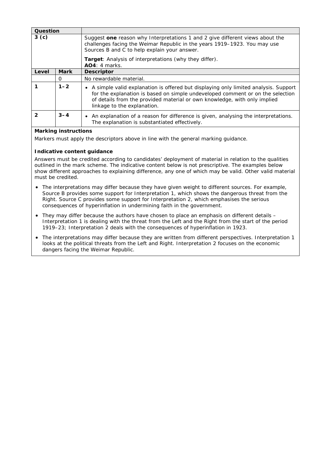| Question         |             |                                                                                                                                                                                                                                                                                              |  |
|------------------|-------------|----------------------------------------------------------------------------------------------------------------------------------------------------------------------------------------------------------------------------------------------------------------------------------------------|--|
| 3 <sub>(c)</sub> |             | Suggest one reason why Interpretations 1 and 2 give different views about the<br>challenges facing the Weimar Republic in the years 1919–1923. You may use<br>Sources B and C to help explain your answer.<br><b>Target:</b> Analysis of interpretations (why they differ).<br>AO4: 4 marks. |  |
| Level            | <b>Mark</b> | <b>Descriptor</b>                                                                                                                                                                                                                                                                            |  |
|                  |             |                                                                                                                                                                                                                                                                                              |  |
|                  | O           | No rewardable material.                                                                                                                                                                                                                                                                      |  |
|                  | $1 - 2$     | • A simple valid explanation is offered but displaying only limited analysis. Support<br>for the explanation is based on simple undeveloped comment or on the selection<br>of details from the provided material or own knowledge, with only implied<br>linkage to the explanation.          |  |
| 2                | $3 - 4$     | • An explanation of a reason for difference is given, analysing the interpretations.<br>The explanation is substantiated effectively.                                                                                                                                                        |  |

Markers must apply the descriptors above in line with the general marking guidance.

# **Indicative content guidance**

Answers must be credited according to candidates' deployment of material in relation to the qualities outlined in the mark scheme. The indicative content below is not prescriptive. The examples below show different approaches to explaining difference, any one of which may be valid. Other valid material must be credited.

- The interpretations may differ because they have given weight to different sources. For example, Source B provides some support for Interpretation 1, which shows the dangerous threat from the Right. Source C provides some support for Interpretation 2, which emphasises the serious consequences of hyperinflation in undermining faith in the government.
- They may differ because the authors have chosen to place an emphasis on different details Interpretation 1 is dealing with the threat from the Left and the Right from the start of the period 1919–23; Interpretation 2 deals with the consequences of hyperinflation in 1923.
- The interpretations may differ because they are written from different perspectives. Interpretation 1 looks at the political threats from the Left and Right. Interpretation 2 focuses on the economic dangers facing the Weimar Republic.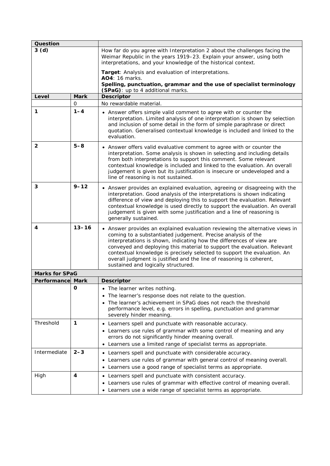| Question              |             |                                                                                                                                                                                                                                                                                                                                                                                                                                                                                             |
|-----------------------|-------------|---------------------------------------------------------------------------------------------------------------------------------------------------------------------------------------------------------------------------------------------------------------------------------------------------------------------------------------------------------------------------------------------------------------------------------------------------------------------------------------------|
| 3(d)                  |             | How far do you agree with Interpretation 2 about the challenges facing the<br>Weimar Republic in the years 1919-23. Explain your answer, using both<br>interpretations, and your knowledge of the historical context.                                                                                                                                                                                                                                                                       |
|                       |             | Target: Analysis and evaluation of interpretations.<br><b>AO4: 16 marks.</b>                                                                                                                                                                                                                                                                                                                                                                                                                |
|                       |             | Spelling, punctuation, grammar and the use of specialist terminology<br>(SPaG): up to 4 additional marks.                                                                                                                                                                                                                                                                                                                                                                                   |
| Level                 | <b>Mark</b> | <b>Descriptor</b>                                                                                                                                                                                                                                                                                                                                                                                                                                                                           |
|                       | 0           | No rewardable material.                                                                                                                                                                                                                                                                                                                                                                                                                                                                     |
| 1                     | $1 - 4$     | • Answer offers simple valid comment to agree with or counter the<br>interpretation. Limited analysis of one interpretation is shown by selection<br>and inclusion of some detail in the form of simple paraphrase or direct<br>quotation. Generalised contextual knowledge is included and linked to the<br>evaluation.                                                                                                                                                                    |
| 2                     | $5 - 8$     | • Answer offers valid evaluative comment to agree with or counter the<br>interpretation. Some analysis is shown in selecting and including details<br>from both interpretations to support this comment. Some relevant<br>contextual knowledge is included and linked to the evaluation. An overall<br>judgement is given but its justification is insecure or undeveloped and a<br>line of reasoning is not sustained.                                                                     |
| 3                     | $9 - 12$    | • Answer provides an explained evaluation, agreeing or disagreeing with the<br>interpretation. Good analysis of the interpretations is shown indicating<br>difference of view and deploying this to support the evaluation. Relevant<br>contextual knowledge is used directly to support the evaluation. An overall<br>judgement is given with some justification and a line of reasoning is<br>generally sustained.                                                                        |
| 4                     | $13 - 16$   | • Answer provides an explained evaluation reviewing the alternative views in<br>coming to a substantiated judgement. Precise analysis of the<br>interpretations is shown, indicating how the differences of view are<br>conveyed and deploying this material to support the evaluation. Relevant<br>contextual knowledge is precisely selected to support the evaluation. An<br>overall judgment is justified and the line of reasoning is coherent,<br>sustained and logically structured. |
| <b>Marks for SPaG</b> |             |                                                                                                                                                                                                                                                                                                                                                                                                                                                                                             |
| Performance Mark      |             | <b>Descriptor</b>                                                                                                                                                                                                                                                                                                                                                                                                                                                                           |
|                       | $\mathbf 0$ | The learner writes nothing.<br>• The learner's response does not relate to the question.<br>• The learner's achievement in SPaG does not reach the threshold<br>performance level, e.g. errors in spelling, punctuation and grammar<br>severely hinder meaning.                                                                                                                                                                                                                             |
| Threshold             | 1           | • Learners spell and punctuate with reasonable accuracy.<br>• Learners use rules of grammar with some control of meaning and any<br>errors do not significantly hinder meaning overall.<br>• Learners use a limited range of specialist terms as appropriate.                                                                                                                                                                                                                               |
| Intermediate          | $2 - 3$     | • Learners spell and punctuate with considerable accuracy.<br>• Learners use rules of grammar with general control of meaning overall.<br>• Learners use a good range of specialist terms as appropriate.                                                                                                                                                                                                                                                                                   |
| High                  | 4           | • Learners spell and punctuate with consistent accuracy.<br>• Learners use rules of grammar with effective control of meaning overall.<br>• Learners use a wide range of specialist terms as appropriate.                                                                                                                                                                                                                                                                                   |